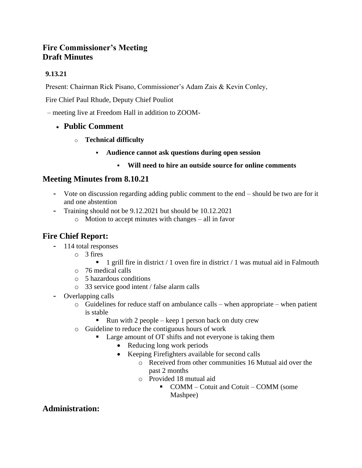# **Fire Commissioner's Meeting Draft Minutes**

# **9.13.21**

Present: Chairman Rick Pisano, Commissioner's Adam Zais & Kevin Conley,

Fire Chief Paul Rhude, Deputy Chief Pouliot

– meeting live at Freedom Hall in addition to ZOOM-

# • **Public Comment**

- o **Technical difficulty**
	- **Audience cannot ask questions during open session**
		- **Will need to hire an outside source for online comments**

# **Meeting Minutes from 8.10.21**

- **-** Vote on discussion regarding adding public comment to the end should be two are for it and one abstention
- **-** Training should not be 9.12.2021 but should be 10.12.2021
	- o Motion to accept minutes with changes all in favor

# **Fire Chief Report:**

- **-** 114 total responses
	- o 3 fires
		- 1 grill fire in district  $/ 1$  oven fire in district  $/ 1$  was mutual aid in Falmouth
	- o 76 medical calls
	- o 5 hazardous conditions
	- o 33 service good intent / false alarm calls
- **-** Overlapping calls
	- o Guidelines for reduce staff on ambulance calls when appropriate when patient is stable
		- **•** Run with 2 people keep 1 person back on duty crew
	- o Guideline to reduce the contiguous hours of work
		- Large amount of OT shifts and not everyone is taking them
			- Reducing long work periods
			- Keeping Firefighters available for second calls
				- o Received from other communities 16 Mutual aid over the past 2 months
				- o Provided 18 mutual aid
					- COMM Cotuit and Cotuit COMM (some

Mashpee)

# **Administration:**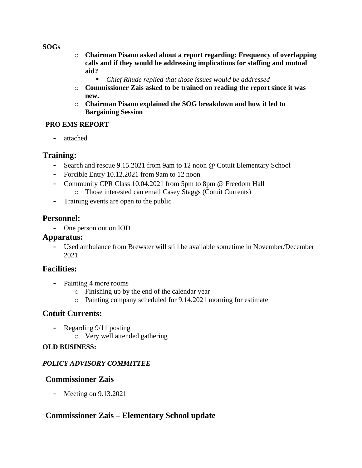#### **SOGs**

- o **Chairman Pisano asked about a report regarding: Frequency of overlapping calls and if they would be addressing implications for staffing and mutual aid?**
	- *Chief Rhude replied that those issues would be addressed*
- o **Commissioner Zais asked to be trained on reading the report since it was new.**
- o **Chairman Pisano explained the SOG breakdown and how it led to Bargaining Session**

#### **PRO EMS REPORT**

**-** attached

## **Training:**

- **-** Search and rescue 9.15.2021 from 9am to 12 noon @ Cotuit Elementary School
- **-** Forcible Entry 10.12.2021 from 9am to 12 noon
- **-** Community CPR Class 10.04.2021 from 5pm to 8pm @ Freedom Hall o Those interested can email Casey Staggs (Cotuit Currents)
- **-** Training events are open to the public

## **Personnel:**

**-** One person out on IOD

#### **Apparatus:**

**-** Used ambulance from Brewster will still be available sometime in November/December 2021

# **Facilities:**

- **-** Painting 4 more rooms
	- o Finishing up by the end of the calendar year
	- o Painting company scheduled for 9.14.2021 morning for estimate

# **Cotuit Currents:**

- **-** Regarding 9/11 posting
	- o Very well attended gathering

#### **OLD BUSINESS:**

#### *POLICY ADVISORY COMMITTEE*

#### **Commissioner Zais**

**-** Meeting on 9.13.2021

# **Commissioner Zais – Elementary School update**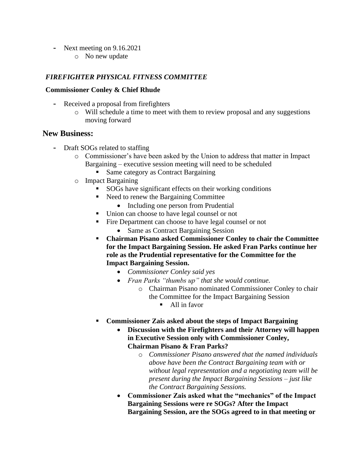- **-** Next meeting on 9.16.2021
	- o No new update

#### *FIREFIGHTER PHYSICAL FITNESS COMMITTEE*

#### **Commissioner Conley & Chief Rhude**

- **-** Received a proposal from firefighters
	- o Will schedule a time to meet with them to review proposal and any suggestions moving forward

#### **New Business:**

- **-** Draft SOGs related to staffing
	- o Commissioner's have been asked by the Union to address that matter in Impact Bargaining – executive session meeting will need to be scheduled
		- Same category as Contract Bargaining
	- o Impact Bargaining
		- SOGs have significant effects on their working conditions
		- Need to renew the Bargaining Committee
			- Including one person from Prudential
		- Union can choose to have legal counsel or not
		- Fire Department can choose to have legal counsel or not
			- Same as Contract Bargaining Session
		- **Chairman Pisano asked Commissioner Conley to chair the Committee for the Impact Bargaining Session. He asked Fran Parks continue her role as the Prudential representative for the Committee for the Impact Bargaining Session.**
			- *Commissioner Conley said yes*
			- *Fran Parks "thumbs up" that she would continue.* o Chairman Pisano nominated Commissioner Conley to chair the Committee for the Impact Bargaining Session
				- All in favor
		- **Commissioner Zais asked about the steps of Impact Bargaining**
			- **Discussion with the Firefighters and their Attorney will happen in Executive Session only with Commissioner Conley, Chairman Pisano & Fran Parks?**
				- o *Commissioner Pisano answered that the named individuals above have been the Contract Bargaining team with or without legal representation and a negotiating team will be present during the Impact Bargaining Sessions – just like the Contract Bargaining Sessions.*
			- **Commissioner Zais asked what the "mechanics" of the Impact Bargaining Sessions were re SOGs? After the Impact Bargaining Session, are the SOGs agreed to in that meeting or**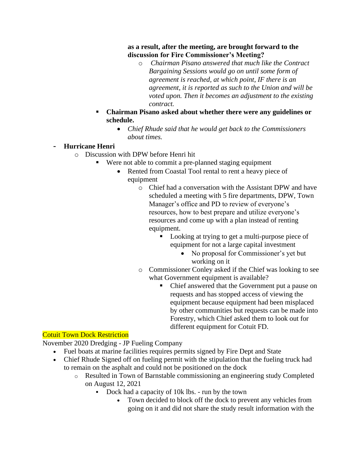#### **as a result, after the meeting, are brought forward to the discussion for Fire Commissioner's Meeting?**

- o *Chairman Pisano answered that much like the Contract Bargaining Sessions would go on until some form of agreement is reached, at which point, IF there is an agreement, it is reported as such to the Union and will be voted upon. Then it becomes an adjustment to the existing contract.*
- **Chairman Pisano asked about whether there were any guidelines or schedule.**
	- *Chief Rhude said that he would get back to the Commissioners about times.*

# **- Hurricane Henri**

- o Discussion with DPW before Henri hit
	- Were not able to commit a pre-planned staging equipment
		- Rented from Coastal Tool rental to rent a heavy piece of equipment
			- o Chief had a conversation with the Assistant DPW and have scheduled a meeting with 5 fire departments, DPW, Town Manager's office and PD to review of everyone's resources, how to best prepare and utilize everyone's resources and come up with a plan instead of renting equipment.
				- Looking at trying to get a multi-purpose piece of equipment for not a large capital investment
					- No proposal for Commissioner's yet but working on it
			- o Commissioner Conley asked if the Chief was looking to see what Government equipment is available?
				- Chief answered that the Government put a pause on requests and has stopped access of viewing the equipment because equipment had been misplaced by other communities but requests can be made into Forestry, which Chief asked them to look out for different equipment for Cotuit FD.

# Cotuit Town Dock Restriction

November 2020 Dredging - JP Fueling Company

- Fuel boats at marine facilities requires permits signed by Fire Dept and State
- Chief Rhude Signed off on fueling permit with the stipulation that the fueling truck had to remain on the asphalt and could not be positioned on the dock
	- o Resulted in Town of Barnstable commissioning an engineering study Completed on August 12, 2021
		- Dock had a capacity of 10k lbs. run by the town
			- Town decided to block off the dock to prevent any vehicles from going on it and did not share the study result information with the